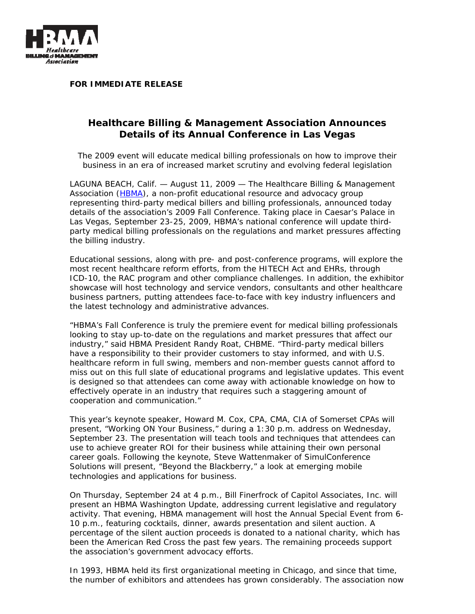

**FOR IMMEDIATE RELEASE** 

## **Healthcare Billing & Management Association Announces Details of its Annual Conference in Las Vegas**

*The 2009 event will educate medical billing professionals on how to improve their business in an era of increased market scrutiny and evolving federal legislation* 

LAGUNA BEACH, Calif. — August 11, 2009 — The Healthcare Billing & Management Association (HBMA), a non-profit educational resource and advocacy group representing third-party medical billers and billing professionals, announced today details of the association's 2009 Fall Conference. Taking place in Caesar's Palace in Las Vegas, September 23-25, 2009, HBMA's national conference will update thirdparty medical billing professionals on the regulations and market pressures affecting the billing industry.

Educational sessions, along with pre- and post-conference programs, will explore the most recent healthcare reform efforts, from the HITECH Act and EHRs, through ICD-10, the RAC program and other compliance challenges. In addition, the exhibitor showcase will host technology and service vendors, consultants and other healthcare business partners, putting attendees face-to-face with key industry influencers and the latest technology and administrative advances.

"HBMA's Fall Conference is truly the premiere event for medical billing professionals looking to stay up-to-date on the regulations and market pressures that affect our industry," said HBMA President Randy Roat, CHBME. "Third-party medical billers have a responsibility to their provider customers to stay informed, and with U.S. healthcare reform in full swing, members and non-member guests cannot afford to miss out on this full slate of educational programs and legislative updates. This event is designed so that attendees can come away with actionable knowledge on how to effectively operate in an industry that requires such a staggering amount of cooperation and communication."

This year's keynote speaker, Howard M. Cox, CPA, CMA, CIA of Somerset CPAs will present, "Working ON Your Business," during a 1:30 p.m. address on Wednesday, September 23. The presentation will teach tools and techniques that attendees can use to achieve greater ROI for their business while attaining their own personal career goals. Following the keynote, Steve Wattenmaker of SimulConference Solutions will present, "Beyond the Blackberry," a look at emerging mobile technologies and applications for business.

On Thursday, September 24 at 4 p.m., Bill Finerfrock of Capitol Associates, Inc. will present an HBMA Washington Update, addressing current legislative and regulatory activity. That evening, HBMA management will host the Annual Special Event from 6- 10 p.m., featuring cocktails, dinner, awards presentation and silent auction. A percentage of the silent auction proceeds is donated to a national charity, which has been the American Red Cross the past few years. The remaining proceeds support the association's government advocacy efforts.

In 1993, HBMA held its first organizational meeting in Chicago, and since that time, the number of exhibitors and attendees has grown considerably. The association now